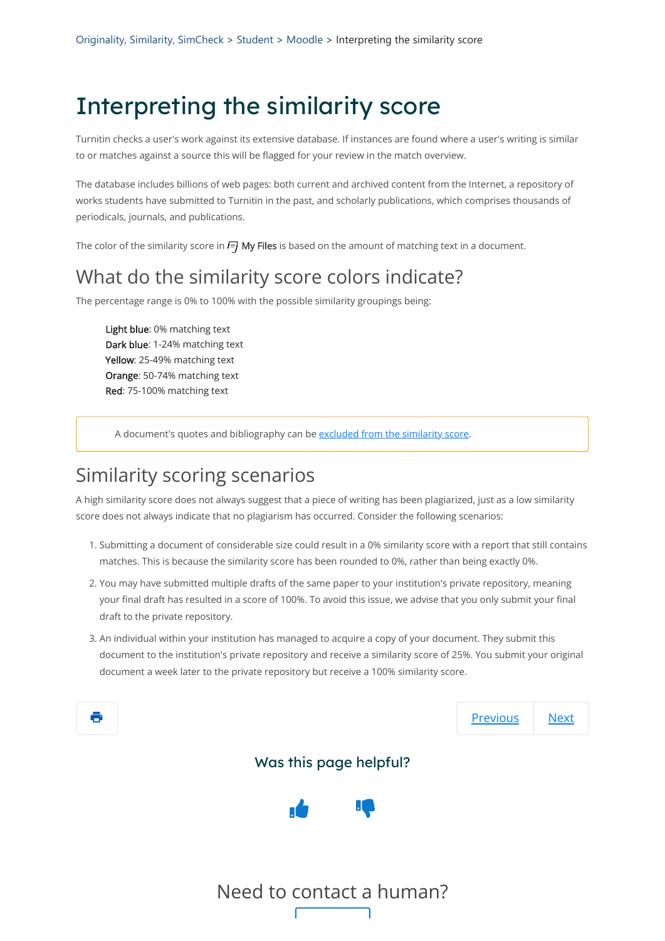Turnitin checks a user's work against its extensive database. If instances are found where a user's writing is similar to or matches against a source this will be flagged for your review in the match overview.

The database includes billions of web pages: both current and archived content from the Internet, a repository of works students have submitted to Turnitin in the past, and scholarly publications, which comprises thousands of periodicals, journals, and publications.

The color of the similarity score in  $\equiv$  My Files is based on the amount of matching text in a document.

### What do the similarity score colors indicate?

The percentage range is 0% to 100% with the possible similarity groupings being:

Light blue: 0% matching text Dark blue: 1-24% matching text Yellow: 25-49% matching text Orange: 50-74% matching text Red: 75-100% matching text

A document's quotes and bibliography can be [excluded from the similarity score](https://help.turnitin.com/integrity/instructor/web/the-similarity-report/excluding-content-from-the-similarity-report.htm).

## Similarity scoring scenarios

A high similarity score does not always suggest that a piece of writing has been plagiarized, just as a low similarity score does not always indicate that no plagiarism has occurred. Consider the following scenarios:

- 1. Submitting a document of considerable size could result in a 0% similarity score with a report that still contains matches. This is because the similarity score has been rounded to 0%, rather than being exactly 0%.
- 2. You may have submitted multiple drafts of the same paper to your institution's private repository, meaning your final draft has resulted in a score of 100%. To avoid this issue, we advise that you only submit your final draft to the private repository.
- 3. An individual within your institution has managed to acquire a copy of your document. They submit this document to the institution's private repository and receive a similarity score of 25%. You submit your original document a week later to the private repository but receive a 100% similarity score.



#### Was this page helpful?



#### Need to contact a human?

# Interpreting the similarity score